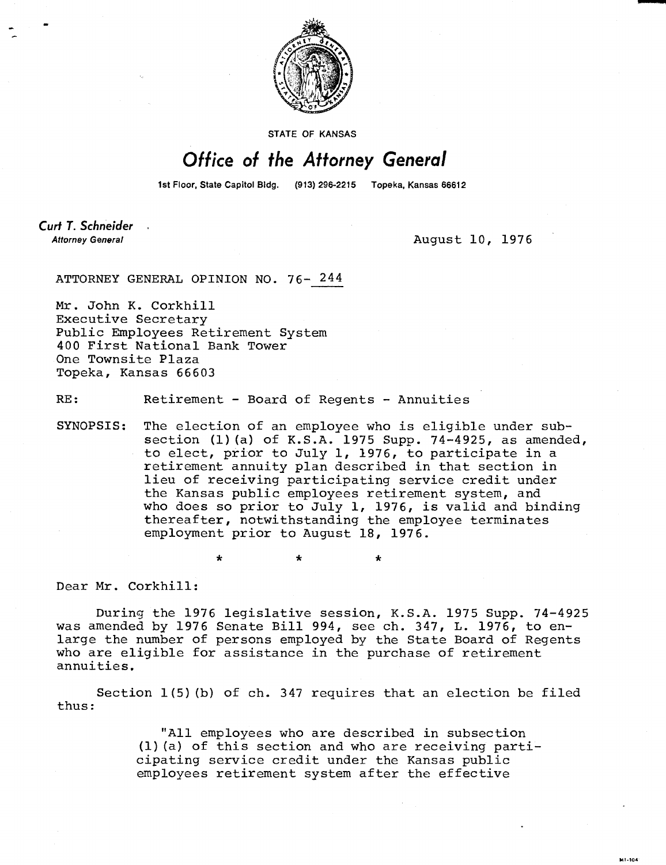

STATE OF KANSAS

## Office of the Attorney General

1st Floor, State Capitol Bldg. (913) 296-2215 Topeka, Kansas 66612

Curt T. Schneider **Attorney General** 

August 10, 1976

41-104

ATTORNEY GENERAL OPINION NO. 76- 244

Mr. John K. Corkhill Executive Secretary Public Employees Retirement System 400 First National Bank Tower One Townsite Plaza Topeka, Kansas 66603

RE: Retirement - Board of Regents - Annuities

SYNOPSIS: The election of an employee who is eligible under subsection (1)(a) of K.S.A. 1975 Supp. 74-4925, as amended, to elect, prior to July 1, 1976, to participate in a retirement annuity plan described in that section in lieu of receiving participating service credit under the Kansas public employees retirement system, and who does so prior to July 1, 1976, is valid and binding thereafter, notwithstanding the employee terminates employment prior to August 18, 1976.

đ.

Dear Mr. Corkhill:

During the 1976 legislative session, K.S.A. 1975 Supp. 74-4925 was amended by 1976 Senate Bill 994, see ch. 347, L. 1976, to enlarge the number of persons employed by the State Board of Regents who are eligible for assistance in the purchase of retirement annuities.

Section 1(5)(b) of ch. 347 requires that an election be filed thus:

> "All employees who are described in subsection (1)(a) of this section and who are receiving participating service credit under the Kansas public employees retirement system after the effective